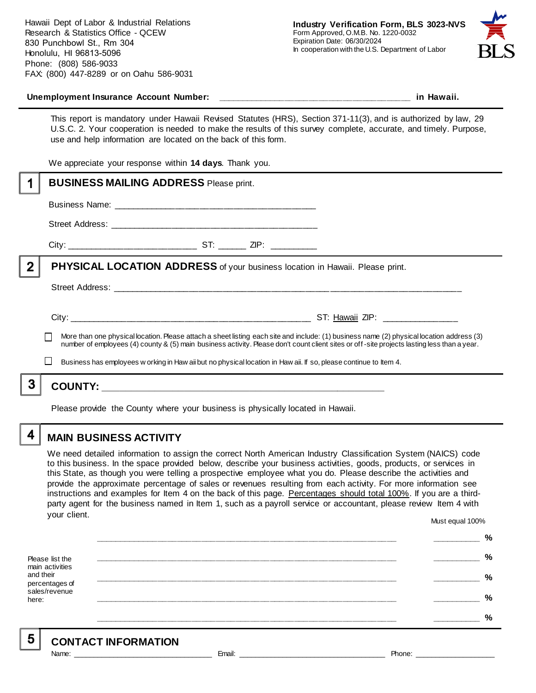

#### **Unemployment Insurance Account Number: \_\_\_\_\_\_\_\_\_\_\_\_\_\_\_\_\_\_\_\_\_\_\_\_\_\_\_\_\_\_\_\_\_\_\_\_\_\_\_\_ in Hawaii.**

This report is mandatory under Hawaii Revised Statutes (HRS), Section 371-11(3), and is authorized by law, 29 U.S.C. 2. Your cooperation is needed to make the results of this survey complete, accurate, and timely. Purpose, use and help information are located on the back of this form.

We appreciate your response within **14 days**. Thank you.

|   | <b>BUSINESS MAILING ADDRESS Please print.</b>                                                                                                                                                                                                                                            |
|---|------------------------------------------------------------------------------------------------------------------------------------------------------------------------------------------------------------------------------------------------------------------------------------------|
|   |                                                                                                                                                                                                                                                                                          |
|   |                                                                                                                                                                                                                                                                                          |
|   |                                                                                                                                                                                                                                                                                          |
| 2 | PHYSICAL LOCATION ADDRESS of your business location in Hawaii. Please print.                                                                                                                                                                                                             |
|   |                                                                                                                                                                                                                                                                                          |
|   |                                                                                                                                                                                                                                                                                          |
|   | More than one physical location. Please attach a sheet listing each site and include: (1) business name (2) physical location address (3)<br>number of employees (4) county & (5) main business activity. Please don't count client sites or off-site projects lasting less than a year. |
|   | Business has employees w orking in Haw aii but no physical location in Haw aii. If so, please continue to Item 4.                                                                                                                                                                        |
| 3 |                                                                                                                                                                                                                                                                                          |
|   | Please provide the County where your business is physically located in Hawaii.                                                                                                                                                                                                           |

4

# **MAIN BUSINESS ACTIVITY**

We need detailed information to assign the correct North American Industry Classification System (NAICS) code to this business. In the space provided below, describe your business activities, goods, products, or services in this State, as though you were telling a prospective employee what you do. Please describe the activities and provide the approximate percentage of sales or revenues resulting from each activity. For more information see instructions and examples for Item 4 on the back of this page. Percentages should total 100%. If you are a thirdparty agent for the business named in Item 1, such as a payroll service or accountant, please review Item 4 with your client. Must equal 100%

Please list the main activities and their percentages of sales/revenue here: **\_\_\_\_\_\_\_\_\_\_\_\_\_\_\_\_\_\_\_\_\_\_\_\_\_\_\_\_\_\_\_\_\_\_\_\_\_\_\_\_\_\_\_\_\_\_\_\_\_\_\_\_\_\_\_\_\_\_\_\_\_\_ \_\_\_\_\_\_\_\_\_\_ % \_\_\_\_\_\_\_\_\_\_\_\_\_\_\_\_\_\_\_\_\_\_\_\_\_\_\_\_\_\_\_\_\_\_\_\_\_\_\_\_\_\_\_\_\_\_\_\_\_\_\_\_\_\_\_\_\_\_\_\_\_\_ \_\_\_\_\_\_\_\_\_\_ % \_\_\_\_\_\_\_\_\_\_\_\_\_\_\_\_\_\_\_\_\_\_\_\_\_\_\_\_\_\_\_\_\_\_\_\_\_\_\_\_\_\_\_\_\_\_\_\_\_\_\_\_\_\_\_\_\_\_\_\_\_\_ \_\_\_\_\_\_\_\_\_\_ % \_\_\_\_\_\_\_\_\_\_\_\_\_\_\_\_\_\_\_\_\_\_\_\_\_\_\_\_\_\_\_\_\_\_\_\_\_\_\_\_\_\_\_\_\_\_\_\_\_\_\_\_\_\_\_\_\_\_\_\_\_\_ \_\_\_\_\_\_\_\_\_\_ % \_\_\_\_\_\_\_\_\_\_\_\_\_\_\_\_\_\_\_\_\_\_\_\_\_\_\_\_\_\_\_\_\_\_\_\_\_\_\_\_\_\_\_\_\_\_\_\_\_\_\_\_\_\_\_\_\_\_\_\_\_\_ \_\_\_\_\_\_\_\_\_\_ %**

5